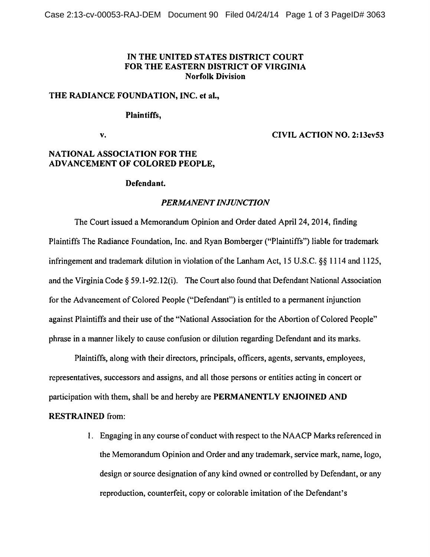# IN THE UNITED STATES DISTRICT COURT FOR THE EASTERN DISTRICT OF VIRGINIA Norfolk Division

### THE RADIANCE FOUNDATION, INC. et al.,

### Plaintiffs,

v.

### CIVIL ACTION NO. 2:13cv53

# NATIONAL ASSOCIATION FOR THE ADVANCEMENT OF COLORED PEOPLE,

### Defendant.

### *PERMANENT INJUNCTION*

The Court issued a Memorandum Opinion and Order dated April 24, 2014, finding Plaintiffs The Radiance Foundation, Inc. and Ryan Bomberger ("Plaintiffs") liable for trademark infringement and trademark dilution in violation of the Lanham Act, 15 U.S.C.  $\$  1114 and 1125, and the Virginia Code§ 59.1-92.12(i). The Court also found that Defendant National Association for the Advancement of Colored People ("Defendant") is entitled to a permanent injunction against Plaintiffs and their use of the "National Association for the Abortion of Colored People" phrase in a manner likely to cause confusion or dilution regarding Defendant and its marks.

Plaintiffs, along with their directors, principals, officers, agents, servants, employees, representatives, successors and assigns, and all those persons or entities acting in concert or participation with them, shall be and hereby are PERMANENTLY ENJOINED AND

# RESTRAINED from:

I. Engaging in any course of conduct with respect to the NAACP Marks referenced in the Memorandum Opinion and Order and any trademark, service mark, name, logo, design or source designation of any kind owned or controlled by Defendant, or any reproduction, counterfeit, copy or colorable imitation of the Defendant's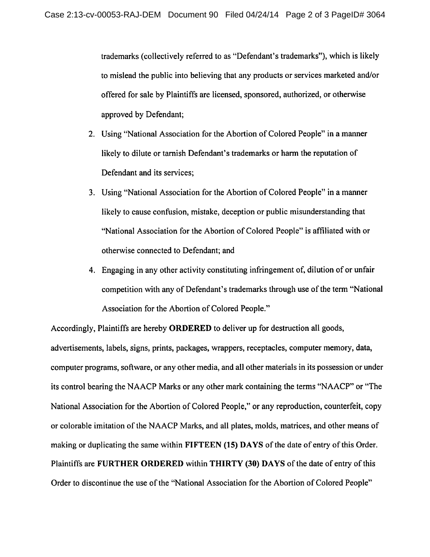trademarks (collectively referred to as "Defendant's trademarks"), which is likely to mislead the public into believing that any products or services marketed and/or offered for sale by Plaintiffs are licensed, sponsored, authorized, or otherwise approved by Defendant;

- 2. Using "National Association for the Abortion of Colored People" in a manner likely to dilute or tarnish Defendant's trademarks or harm the reputation of Defendant and its services;
- 3. Using "National Association for the Abortion of Colored People" in a manner likely to cause confusion, mistake, deception or public misunderstanding that "National Association for the Abortion of Colored People" is affiliated with or otherwise connected to Defendant; and
- 4. Engaging in any other activity constituting infringement of, dilution of or unfair competition with any of Defendant's trademarks through use of the term "National Association for the Abortion of Colored People."

Accordingly, Plaintiffs are hereby ORDERED to deliver up for destruction all goods, advertisements, labels, signs, prints, packages, wrappers, receptacles, computer memory, data, computer programs, software, or any other media, and all other materials in its possession or under its control bearing the NAACP Marks or any other mark containing the terms "NAACP" or "The National Association for the Abortion of Colored People," or any reproduction, counterfeit, copy or colorable imitation of the NAACP Marks, and all plates, molds, matrices, and other means of making or duplicating the same within FIFTEEN (15) DAYS of the date of entry of this Order. Plaintiffs are FURTHER ORDERED within THIRTY (30) DAYS of the date of entry of this Order to discontinue the use of the "National Association for the Abortion of Colored People"